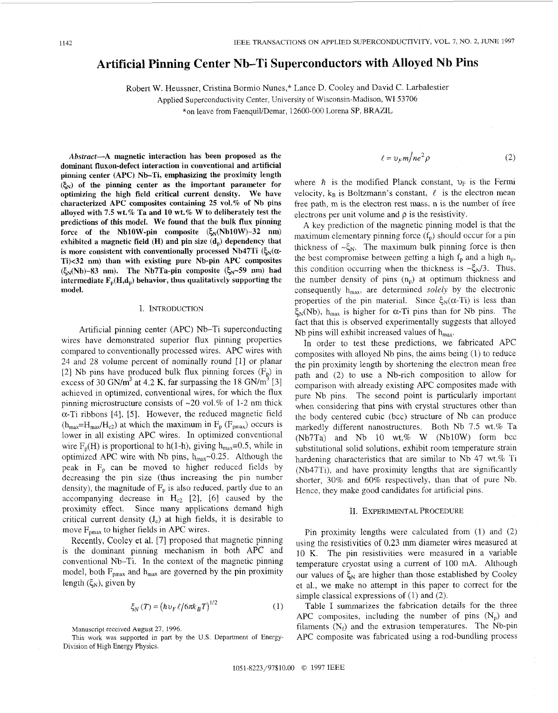# Artificial Pinning Center Nb-Ti Superconductors with Alloyed Nb Pins

Robert W. Heussner, Cristina Bormio Nunes,\* Lance D. Cooley and David C. Larbalestier

Applied Superconductivity Center, University of Wisconsin-Madison, WI 53706

\*on leave from Faenquil/Demar, 12600-000 Lorena SP, BRAZIL

*Abstract-A* **magnetic interaction has been proposed as the dominant fluxon-defect interaction in conventional and artificial pinning center (APC) Nb-Ti, emphasizing the proximity length**   $(\xi_N)$  of the pinning center as the important parameter for **optimizing the high field critical current density. We have characterized APC composites containing 25 vol.% of Nb pins alloyed with 7.5 wt.% Ta and 10 wt.% W to deliberately test the predictions of this model. We found that the bulk flux pinning**  force of the Nb10W-pin composite  $(\xi_N(Nb10W)-32$  nm) exhibited a magnetic field (H) and pin size (d<sub>p</sub>) dependency that is more consistent with conventionally processed Nb47Ti  $(\xi_N(\alpha$ **Ti)<32 nm) than with existing pure Nb-pin APC composites**   $(\xi_N(Nb) \sim 83$  nm). The Nb7Ta-pin composite  $(\xi_N \sim 59$  nm) had intermediate  $\mathbf{F}_n(\mathbf{H},\mathbf{d}_n)$  behavior, thus qualitatively supporting the **model.** 

# I. INTRODUCTION

Artificial pinning center (APC) Nb-Ti superconducting wires have demonstrated superior flux pinning properties compared to conventionally processed wires. APC wires with 24 and 28 volume percent of nominally round [l] or planar [2] Nb pins have produced bulk flux pinning forces  $(F_p)$  in excess of 30 GN/m<sup>3</sup> at 4.2 K, far surpassing the 18 GN/m<sup>3</sup> [3] achieved in optimized, conventional wires, for which the flux pinning microstructure consists of  $\sim$ 20 vol.% of 1-2 nm thick a-Ti ribbons [4], *[5].* However, the reduced magnetic field  $(h_{\text{max}}=H_{\text{max}}/H_{c2})$  at which the maximum in  $F_p$  ( $F_{\text{pmax}}$ ) occurs is lower in all existing APC wires. In optimized conventional wire  $F_p(H)$  is proportional to h(1-h), giving  $h_{max}=0.5$ , while in optimized APC wire with Nb pins,  $h_{\text{max}}$ ~0.25. Although the peak in  $F_p$  can be moved to higher reduced fields by decreasing the pin size (thus increasing the pin number density), the magnitude of  $F_p$  is also reduced, partly due to an accompanying decrease in  $H_{c2}$  [2], [6] caused by the proximity effect, Since many applications demand high critical current density (Jc) at high fields, it is desirable to move  $F_{pmax}$  to higher fields in APC wires.

Recently, Cooley et al. [7] proposed that magnetic pinning is the dominant pinning mechanism in both APC and conventional Nb-Ti. In the context of the magnetic pinning model, both  $F_{pmax}$  and  $h_{max}$  are governed by the pin proximity length  $(\xi_N)$ , given by

$$
\xi_N(T) = \left(\hbar v_F \ell / 6\pi k_B T\right)^{1/2} \tag{1}
$$

Manuscript received August 27, 1996.

This work was supported in part by the U.S. Department of Energy-Division of High Energy Physics.

$$
ell = v_F m / ne^2 \rho \tag{2}
$$

where  $\hbar$  is the modified Planck constant,  $v_F$  is the Fermi velocity,  $k_B$  is Boltzmann's constant,  $\ell$  is the electron mean free path, m is the electron rest mass, n is the number of free electrons per unit volume and  $\rho$  is the resistivity.

A key prediction of the magnetic pinning model is that the maximum elementary pinning force  $(f_p)$  should occur for a pin thickness of  $\sim \xi_N$ . The maximum bulk pinning force is then the best compromise between getting a high  $f_p$  and a high  $n_p$ , this condition occurring when the thickness is  $-\xi_N/3$ . Thus, the number density of pins  $(n_p)$  at optimum thickness and consequently h<sub>max</sub>, are determined *solely* by the electronic properties of the pin material. Since  $\xi_N(\alpha$ -Ti) is less than  $\xi_{\text{N}}$ (Nb), h<sub>max</sub> is higher for  $\alpha$ -Ti pins than for Nb pins. The fact that this is observed experimentally suggests that alloyed Nb pins will exhibit increased values of  $h_{max}$ .

In order to test these predictions, we fabricated APC composites with alloyed Nb pins, the aims being (1) to reduce the pin proximity length by shortening the electron mean free path and (2) to use a Nb-rich composition to allow for comparison with already existing APC composites made with pure Nb pins. The second point is particularly important when considering that pins with crystal structures other than the body centered cubic (bcc) structure of Nb can produce markedly different nanostructures. Both Nb 7.5 wt.% Ta  $(Nb7Ta)$  and Nb 10 wt.% W  $(Nb10W)$  form bcc substitutional solid solutions, exhibit room temperature strain hardening characteristics that are similar to Nb 47 wt.% Ti (Nb47Ti), and have proximity lengths that are significantly shorter, 30% and 60% respectively, than that of pure Nb. Hence, they make good candidates for artificial pins.

# II. EXPERIMENTAL PROCEDURE

Pin proximity lengths were calculated from (1) and (2) using the resistivities of 0.23 mm diameter wires measured at 10 K. The pin resistivities were measured in a variable temperature cryostat using a current of 100 mA. Although our values of  $\xi_N$  are higher than those established by Cooley et al., we make no attempt in this paper to correct for the simple classical expressions of (1) and (2).

Table I summarizes the fabrication details for the three APC composites, including the number of pins  $(N_p)$  and filaments  $(N_f)$  and the extrusion temperatures. The Nb-pin APC composite was fabricated using a rod-bundling process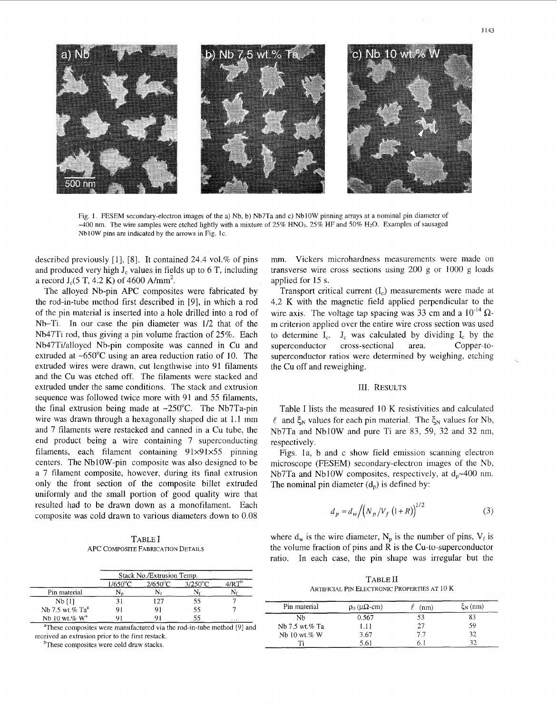

Fig. **1.** FESEM secondary-electron images of the a) Nb, b) Nb7Ta and c) NblOW pinning arrays at a nominal pin diameter of  $-400$  nm. The wire samples were etched lightly with a mixture of 25% HNO<sub>3</sub>, 25% HF and 50% H<sub>2</sub>O. Examples of sausaged NblOW pins are indicated by the arrows in Fig. **IC.** 

described previously  $[1]$ ,  $[8]$ . It contained 24.4 vol.% of pins and produced very high  $J_c$  values in fields up to 6 T, including a record  $J_c(5 T, 4.2 K)$  of 4600 A/mm<sup>2</sup>.

The alloyed Nb-pin **APC** composites were fabricated by the rod-in-tube method first described in [9], in which a rod of the pin material is inserted into a hole drilled into a rod of Nb-Ti. In our case the pin diameter was **1/2** that of the Nb47Ti rod, thus giving a pin volume fraction of 25%. Each Nb47Ti/alloyed Nb-pin composite was canned in Cu and extruded at *-650°C* using an area reduction ratio of 10. The extruded wires were drawn, cut lengthwise into 91 filaments and the Cu was etched off. The filaments were stacked and extruded under the same conditions. The stack and extrusion sequence was followed twice more with 91 and 55 filaments, the final extrusion being made at  $\sim 250^{\circ}$ C. The Nb7Ta-pin wire was drawn through a hexagonally shaped die at 1.1 mm and 7 filaments were restacked and canned in a Cu tube, the end product being a wire containing 7 superconducting filaments, each filament containing 91×91×55 pinning centers. The NblOW-pin composite was also designed to be a 7 filament composite, however, during its final extrusion only the front section of the composite billet extruded uniformly and the small portion of good quality wire that resulted had to be drawn down as a monofilament. Each composite was cold drawn to various diameters down to 0.08

TABLE I APC COMPOSITE FABRICATION DETAILS

|                             | Stack No./Extrusion Temp. |                   |                   |          |
|-----------------------------|---------------------------|-------------------|-------------------|----------|
|                             | $1/650$ <sup>o</sup> C    | $2/650^{\circ}$ C | $3/250^{\circ}$ C | $m-b$    |
| Pin material                |                           |                   |                   |          |
| $Nb$ [1]                    |                           | 127               | 55                |          |
| Nb 7.5 wt.% Ta <sup>a</sup> |                           |                   | 55                |          |
| Nb 10 wt.% $W^a$            |                           |                   | 55                | $\cdots$ |

"These composites were manufactured via the rod-in-tube method **[9]** and received an extrusion prior to the first restack.

 $b$ These composites were cold draw stacks.

mm. Vickers microhardness measurements were made on transverse wire cross sections using 200 g or 1000 g loads applied for 15 s.

Transport critical current  $(I_c)$  measurements were made at 4.2 K with the magnetic field applied perpendicular to the wire axis. The voltage tap spacing was 33 cm and a  $10^{-14}$   $\Omega$ m criterion applied over the entire wire cross section was used to determine  $I_c$ .  $J_c$  was calculated by dividing  $I_c$  by the superconductor cross-sectional area. Copper-tosuperconductor ratios were determined by weighing, etching the Cu off and reweighing.

### 111. RESULTS

Table I lists the measured 10 K resistivities and calculated  $\ell$  and  $\xi_N$  values for each pin material. The  $\xi_N$  values for Nb, Nb7Ta and NblOW and pure Ti are 83, 59, 32 and 32 nm, respectively.

Figs. la, b and c show field emission scanning electron microscope (FESEM) secondary-electron images of the Nb, Nb7Ta and Nb10W composites, respectively, at  $d_p \sim 400$  nm. The nominal pin diameter  $(d_p)$  is defined by:

$$
d_p = d_w / (N_p / V_f (1+R))^{1/2}
$$
 (3)

where  $d_w$  is the wire diameter,  $N_p$  is the number of pins,  $V_f$  is the volume fraction of pins and R is the Cu-to-superconductor ratio. In each case, the pin shape was irregular but the

TABLE I1 ARTIFICIAL PIN ELECTRONIC PROPERTIES AT 10 K

| Pin material   | $\rho_0$ ( $\mu\Omega$ -cm) | (nm) | $\xi_N$ (nm) |
|----------------|-----------------------------|------|--------------|
| . Nh           | 0.567                       | 53   | 83           |
| Nb 7.5 wt.% Ta | 1.11                        | 27   | 59           |
| Nb 10 wt.% W   | 3.67                        | 77   | 32           |
|                | 5.61                        | 6. I |              |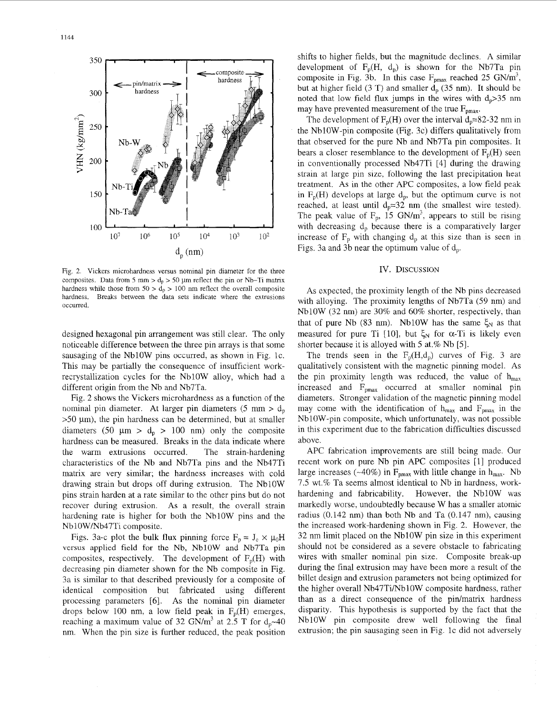

Fig. 2. Vickers microhardness versus nominal pin diameter for the three composites. Data from 5 mm  $> d_p > 50 \mu m$  reflect the pin or Nb-Ti matrix hardness while those from  $50 > d_p > 100$  nm reflect the overall composite hardness. Breaks between the data sets indicate where the extrusions occurred

designed hexagonal pin arrangement was still clear. The only noticeable difference between the three pin arrays is that some sausaging of the NblOW pins occurred, as shown in Fig. IC. This may be partially the consequence of insufficient workrecrystallization cycles for the NblOW alloy, which had a different origin from the Nb and Nb7Ta.

Fig. 2 shows the Vickers microhardness as a function of the nominal pin diameter. At larger pin diameters  $(5 \text{ mm} > d_n)$  $>50 \mu$ m), the pin hardness can be determined, but at smaller diameters (50  $\mu$ m > d<sub>p</sub> > 100 nm) only the composite hardness can be measured. Breaks in the data indicate where the warm extrusions occurred. The strain-hardening characteristics of the Nb and Nb7Ta pins and the Nb47Ti matrix are very similar; the hardness increases with cold drawing strain but drops off during extrusion. The NblOW pins strain harden at a rate similar to the other pins but do not recover during extrusion. **As** a result, the overall strain hardening rate is higher for both the NblOW pins and the Nb 10W/Nb47Ti composite.

Figs. 3a-c plot the bulk flux pinning force  $F_p = J_c \times \mu_0 H$ versus applied field for the Nb, NblOW and Nb7Ta pin composites, respectively. The development of  $F_p(H)$  with decreasing pin diameter shown for the Nb composite in Fig. 3a is similar to that described previously for a composite of identical composition but fabricated using different processing parameters [6]. As the nominal pin diameter drops below 100 nm, a low field peak in  $F_p(H)$  emerges, reaching a maximum value of 32 GN/m<sup>3</sup> at 2.5 T for  $d_p \sim 40$ nm. When the pin size is further reduced, the peak position

shifts to higher fields, but the magnitude declines. A similar development of  $F_p(H, d_p)$  is shown for the Nb7Ta pin composite in Fig. 3b. In this case  $F_{pmax}$  reached 25 GN/m<sup>3</sup>, but at higher field (3 T) and smaller  $d_p$  (35 nm). It should be noted that low field flux jumps in the wires with  $d_p > 35$  nm may have prevented measurement of the true  $F_{pmax}$ .

The development of  $F_p(H)$  over the interval  $d_p=82-32$  nm in the Nb 10W-pin composite (Fig. 3c) differs qualitatively from that observed for the pure Nb and Nb7Ta pin composites. It bears a closer resemblance to the development of  $F_n(H)$  seen in conventionally processed Nb47Ti [4] during the drawing strain at large pin size, following the last precipitation heat treatment. As in the other APC composites, a low field peak in  $F_p(H)$  develops at large  $d_p$ , but the optimum curve is not reached, at least until  $d_p=32$  nm (the smallest wire tested). The peak value of  $F_p$ , 15 GN/m<sup>3</sup>, appears to still be rising with decreasing  $d_p$  because there is a comparatively larger increase of  $F_p$  with changing  $d_p$  at this size than is seen in Figs. 3a and 3b near the optimum value of  $d_p$ .

# IV. DISCUSSION

**As** expected, the proximity length of the Nb pins decreased with alloying. The proximity lengths of Nb7Ta (59 nm) and NblOW (32 nm) are 30% and 60% shorter, respectively, than that of pure Nb (83 nm). Nb10W has the same  $\xi_N$  as that measured for pure Ti [10], but  $\xi_N$  for  $\alpha$ -Ti is likely even shorter because it is alloyed with *5* at.% Nb *[5].* 

The trends seen in the  $F_p(H,d_p)$  curves of Fig. 3 are qualitatively consistent with the magnetic pinning model. As the pin proximity length was reduced, the value of  $h_{\text{max}}$ increased and  $F_{\text{bmax}}$  occurred at smaller nominal pin diameters. Stronger validation of the magnetic pinning model may come with the identification of  $h_{max}$  and  $F_{max}$  in the NblOW-pin composite, which unfortunately, was not possible in this experiment due to the fabrication difficulties discussed above.

APC fabrication improvements are still being made. Our recent work on pure Nb pin APC composites [l] produced large increases (~40%) in  $F_{pmax}$  with little change in  $h_{max}$ . Nb 7.5 wt.% Ta seems almost identical to Nb in hardness, workhardening and fabricability. However, the NblOW was markedly worse, undoubtedly because W has a smaller atomic radius  $(0.142 \text{ nm})$  than both Nb and Ta  $(0.147 \text{ nm})$ , causing the increased work-hardening shown in Fig. 2. However, the 32 nm limit placed on the NblOW pin size in this experiment should not be considered as a severe obstacle to fabricating wires with smaller nominal pin size. Composite break-up during the final extrusion may have been more a result of the billet design and extrusion parameters not being optimized for the higher overall Nb47Ti/Nb10W composite hardness, rather than as a direct consequence of the pin/matrix hardness disparity. This hypothesis is supported by the fact that the NblOW pin composite drew well following the final extrusion; the pin sausaging seen in Fig. 1c did not adversely